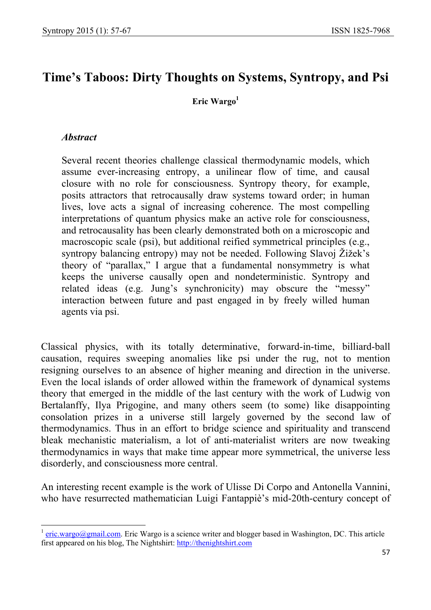# **Time's Taboos: Dirty Thoughts on Systems, Syntropy, and Psi**

Eric Wargo<sup>1</sup>

#### *Abstract*

 $\overline{\phantom{a}}$ 

Several recent theories challenge classical thermodynamic models, which assume ever-increasing entropy, a unilinear flow of time, and causal closure with no role for consciousness. Syntropy theory, for example, posits attractors that retrocausally draw systems toward order; in human lives, love acts a signal of increasing coherence. The most compelling interpretations of quantum physics make an active role for consciousness, and retrocausality has been clearly demonstrated both on a microscopic and macroscopic scale (psi), but additional reified symmetrical principles (e.g., syntropy balancing entropy) may not be needed. Following Slavoj Žižek's theory of "parallax," I argue that a fundamental nonsymmetry is what keeps the universe causally open and nondeterministic. Syntropy and related ideas (e.g. Jung's synchronicity) may obscure the "messy" interaction between future and past engaged in by freely willed human agents via psi.

Classical physics, with its totally determinative, forward-in-time, billiard-ball causation, requires sweeping anomalies like psi under the rug, not to mention resigning ourselves to an absence of higher meaning and direction in the universe. Even the local islands of order allowed within the framework of dynamical systems theory that emerged in the middle of the last century with the work of Ludwig von Bertalanffy, Ilya Prigogine, and many others seem (to some) like disappointing consolation prizes in a universe still largely governed by the second law of thermodynamics. Thus in an effort to bridge science and spirituality and transcend bleak mechanistic materialism, a lot of anti-materialist writers are now tweaking thermodynamics in ways that make time appear more symmetrical, the universe less disorderly, and consciousness more central.

An interesting recent example is the work of Ulisse Di Corpo and Antonella Vannini, who have resurrected mathematician Luigi Fantappiè's mid-20th-century concept of

eric.wargo@gmail.com. Eric Wargo is a science writer and blogger based in Washington, DC. This article first appeared on his blog, The Nightshirt: http://thenightshirt.com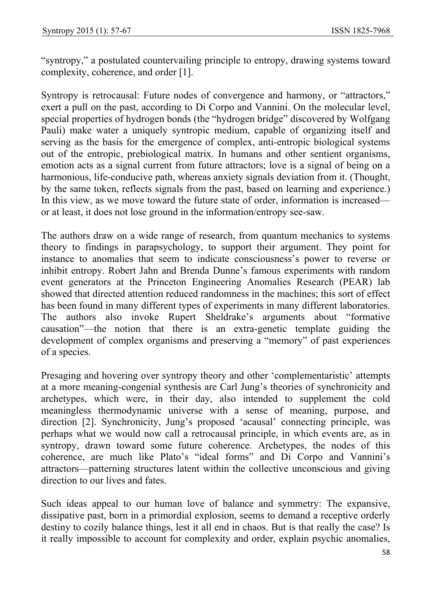"syntropy," a postulated countervailing principle to entropy, drawing systems toward complexity, coherence, and order [1].

Syntropy is retrocausal: Future nodes of convergence and harmony, or "attractors," exert a pull on the past, according to Di Corpo and Vannini. On the molecular level, special properties of hydrogen bonds (the "hydrogen bridge" discovered by Wolfgang Pauli) make water a uniquely syntropic medium, capable of organizing itself and serving as the basis for the emergence of complex, anti-entropic biological systems out of the entropic, prebiological matrix. In humans and other sentient organisms, emotion acts as a signal current from future attractors; love is a signal of being on a harmonious, life-conducive path, whereas anxiety signals deviation from it. (Thought, by the same token, reflects signals from the past, based on learning and experience.) In this view, as we move toward the future state of order, information is increased or at least, it does not lose ground in the information/entropy see-saw.

The authors draw on a wide range of research, from quantum mechanics to systems theory to findings in parapsychology, to support their argument. They point for instance to anomalies that seem to indicate consciousness's power to reverse or inhibit entropy. Robert Jahn and Brenda Dunne's famous experiments with random event generators at the Princeton Engineering Anomalies Research (PEAR) lab showed that directed attention reduced randomness in the machines; this sort of effect has been found in many different types of experiments in many different laboratories. The authors also invoke Rupert Sheldrake's arguments about "formative causation"—the notion that there is an extra-genetic template guiding the development of complex organisms and preserving a "memory" of past experiences of a species.

Presaging and hovering over syntropy theory and other 'complementaristic' attempts at a more meaning-congenial synthesis are Carl Jung's theories of synchronicity and archetypes, which were, in their day, also intended to supplement the cold meaningless thermodynamic universe with a sense of meaning, purpose, and direction [2]. Synchronicity, Jung's proposed 'acausal' connecting principle, was perhaps what we would now call a retrocausal principle, in which events are, as in syntropy, drawn toward some future coherence. Archetypes, the nodes of this coherence, are much like Plato's "ideal forms" and Di Corpo and Vannini's attractors—patterning structures latent within the collective unconscious and giving direction to our lives and fates.

Such ideas appeal to our human love of balance and symmetry: The expansive, dissipative past, born in a primordial explosion, seems to demand a receptive orderly destiny to cozily balance things, lest it all end in chaos. But is that really the case? Is it really impossible to account for complexity and order, explain psychic anomalies,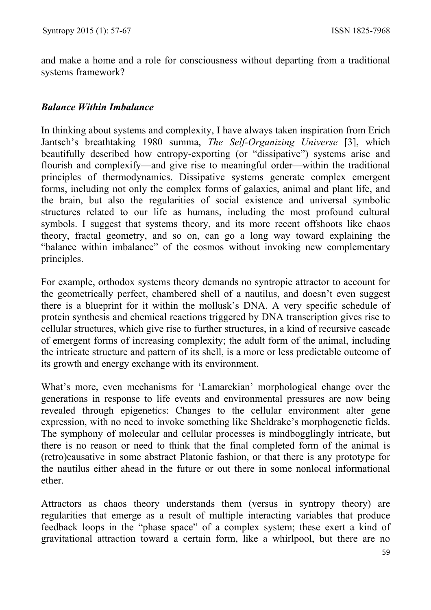and make a home and a role for consciousness without departing from a traditional systems framework?

#### *Balance Within Imbalance*

In thinking about systems and complexity, I have always taken inspiration from Erich Jantsch's breathtaking 1980 summa, *The Self-Organizing Universe* [3], which beautifully described how entropy-exporting (or "dissipative") systems arise and flourish and complexify—and give rise to meaningful order—within the traditional principles of thermodynamics. Dissipative systems generate complex emergent forms, including not only the complex forms of galaxies, animal and plant life, and the brain, but also the regularities of social existence and universal symbolic structures related to our life as humans, including the most profound cultural symbols. I suggest that systems theory, and its more recent offshoots like chaos theory, fractal geometry, and so on, can go a long way toward explaining the "balance within imbalance" of the cosmos without invoking new complementary principles.

For example, orthodox systems theory demands no syntropic attractor to account for the geometrically perfect, chambered shell of a nautilus, and doesn't even suggest there is a blueprint for it within the mollusk's DNA. A very specific schedule of protein synthesis and chemical reactions triggered by DNA transcription gives rise to cellular structures, which give rise to further structures, in a kind of recursive cascade of emergent forms of increasing complexity; the adult form of the animal, including the intricate structure and pattern of its shell, is a more or less predictable outcome of its growth and energy exchange with its environment.

What's more, even mechanisms for 'Lamarckian' morphological change over the generations in response to life events and environmental pressures are now being revealed through epigenetics: Changes to the cellular environment alter gene expression, with no need to invoke something like Sheldrake's morphogenetic fields. The symphony of molecular and cellular processes is mindbogglingly intricate, but there is no reason or need to think that the final completed form of the animal is (retro)causative in some abstract Platonic fashion, or that there is any prototype for the nautilus either ahead in the future or out there in some nonlocal informational ether.

Attractors as chaos theory understands them (versus in syntropy theory) are regularities that emerge as a result of multiple interacting variables that produce feedback loops in the "phase space" of a complex system; these exert a kind of gravitational attraction toward a certain form, like a whirlpool, but there are no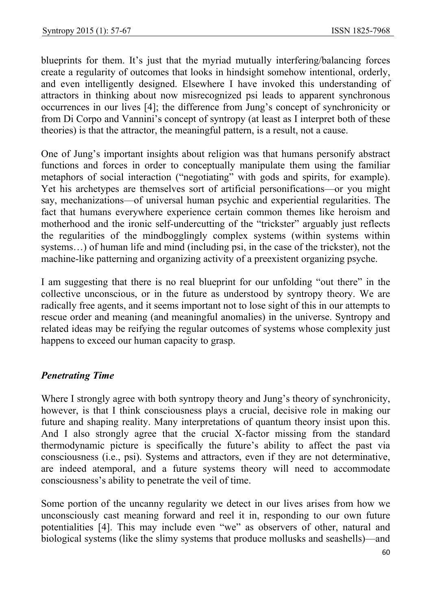blueprints for them. It's just that the myriad mutually interfering/balancing forces create a regularity of outcomes that looks in hindsight somehow intentional, orderly, and even intelligently designed. Elsewhere I have invoked this understanding of attractors in thinking about now misrecognized psi leads to apparent synchronous occurrences in our lives [4]; the difference from Jung's concept of synchronicity or from Di Corpo and Vannini's concept of syntropy (at least as I interpret both of these theories) is that the attractor, the meaningful pattern, is a result, not a cause.

One of Jung's important insights about religion was that humans personify abstract functions and forces in order to conceptually manipulate them using the familiar metaphors of social interaction ("negotiating" with gods and spirits, for example). Yet his archetypes are themselves sort of artificial personifications—or you might say, mechanizations—of universal human psychic and experiential regularities. The fact that humans everywhere experience certain common themes like heroism and motherhood and the ironic self-undercutting of the "trickster" arguably just reflects the regularities of the mindbogglingly complex systems (within systems within systems…) of human life and mind (including psi, in the case of the trickster), not the machine-like patterning and organizing activity of a preexistent organizing psyche.

I am suggesting that there is no real blueprint for our unfolding "out there" in the collective unconscious, or in the future as understood by syntropy theory. We are radically free agents, and it seems important not to lose sight of this in our attempts to rescue order and meaning (and meaningful anomalies) in the universe. Syntropy and related ideas may be reifying the regular outcomes of systems whose complexity just happens to exceed our human capacity to grasp.

# *Penetrating Time*

Where I strongly agree with both syntropy theory and Jung's theory of synchronicity, however, is that I think consciousness plays a crucial, decisive role in making our future and shaping reality. Many interpretations of quantum theory insist upon this. And I also strongly agree that the crucial X-factor missing from the standard thermodynamic picture is specifically the future's ability to affect the past via consciousness (i.e., psi). Systems and attractors, even if they are not determinative, are indeed atemporal, and a future systems theory will need to accommodate consciousness's ability to penetrate the veil of time.

Some portion of the uncanny regularity we detect in our lives arises from how we unconsciously cast meaning forward and reel it in, responding to our own future potentialities [4]. This may include even "we" as observers of other, natural and biological systems (like the slimy systems that produce mollusks and seashells)—and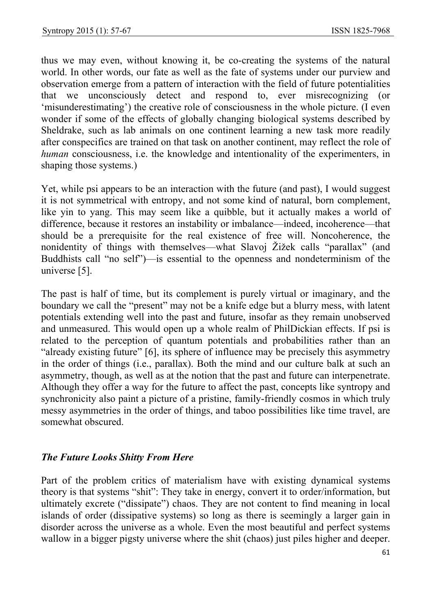thus we may even, without knowing it, be co-creating the systems of the natural world. In other words, our fate as well as the fate of systems under our purview and observation emerge from a pattern of interaction with the field of future potentialities that we unconsciously detect and respond to, ever misrecognizing (or 'misunderestimating') the creative role of consciousness in the whole picture. (I even wonder if some of the effects of globally changing biological systems described by Sheldrake, such as lab animals on one continent learning a new task more readily after conspecifics are trained on that task on another continent, may reflect the role of *human* consciousness, i.e. the knowledge and intentionality of the experimenters, in shaping those systems.)

Yet, while psi appears to be an interaction with the future (and past), I would suggest it is not symmetrical with entropy, and not some kind of natural, born complement, like yin to yang. This may seem like a quibble, but it actually makes a world of difference, because it restores an instability or imbalance—indeed, incoherence—that should be a prerequisite for the real existence of free will. Noncoherence, the nonidentity of things with themselves—what Slavoj Žižek calls "parallax" (and Buddhists call "no self")—is essential to the openness and nondeterminism of the universe [5].

The past is half of time, but its complement is purely virtual or imaginary, and the boundary we call the "present" may not be a knife edge but a blurry mess, with latent potentials extending well into the past and future, insofar as they remain unobserved and unmeasured. This would open up a whole realm of PhilDickian effects. If psi is related to the perception of quantum potentials and probabilities rather than an "already existing future" [6], its sphere of influence may be precisely this asymmetry in the order of things (i.e., parallax). Both the mind and our culture balk at such an asymmetry, though, as well as at the notion that the past and future can interpenetrate. Although they offer a way for the future to affect the past, concepts like syntropy and synchronicity also paint a picture of a pristine, family-friendly cosmos in which truly messy asymmetries in the order of things, and taboo possibilities like time travel, are somewhat obscured.

# *The Future Looks Shitty From Here*

Part of the problem critics of materialism have with existing dynamical systems theory is that systems "shit": They take in energy, convert it to order/information, but ultimately excrete ("dissipate") chaos. They are not content to find meaning in local islands of order (dissipative systems) so long as there is seemingly a larger gain in disorder across the universe as a whole. Even the most beautiful and perfect systems wallow in a bigger pigsty universe where the shit (chaos) just piles higher and deeper.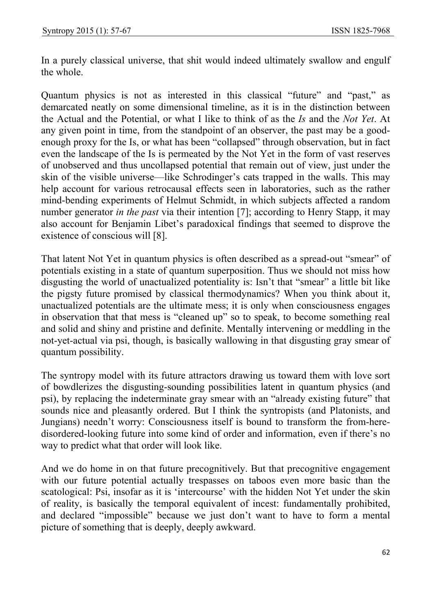In a purely classical universe, that shit would indeed ultimately swallow and engulf the whole.

Quantum physics is not as interested in this classical "future" and "past," as demarcated neatly on some dimensional timeline, as it is in the distinction between the Actual and the Potential, or what I like to think of as the *Is* and the *Not Yet*. At any given point in time, from the standpoint of an observer, the past may be a goodenough proxy for the Is, or what has been "collapsed" through observation, but in fact even the landscape of the Is is permeated by the Not Yet in the form of vast reserves of unobserved and thus uncollapsed potential that remain out of view, just under the skin of the visible universe—like Schrodinger's cats trapped in the walls. This may help account for various retrocausal effects seen in laboratories, such as the rather mind-bending experiments of Helmut Schmidt, in which subjects affected a random number generator *in the past* via their intention [7]; according to Henry Stapp, it may also account for Benjamin Libet's paradoxical findings that seemed to disprove the existence of conscious will [8].

That latent Not Yet in quantum physics is often described as a spread-out "smear" of potentials existing in a state of quantum superposition. Thus we should not miss how disgusting the world of unactualized potentiality is: Isn't that "smear" a little bit like the pigsty future promised by classical thermodynamics? When you think about it, unactualized potentials are the ultimate mess; it is only when consciousness engages in observation that that mess is "cleaned up" so to speak, to become something real and solid and shiny and pristine and definite. Mentally intervening or meddling in the not-yet-actual via psi, though, is basically wallowing in that disgusting gray smear of quantum possibility.

The syntropy model with its future attractors drawing us toward them with love sort of bowdlerizes the disgusting-sounding possibilities latent in quantum physics (and psi), by replacing the indeterminate gray smear with an "already existing future" that sounds nice and pleasantly ordered. But I think the syntropists (and Platonists, and Jungians) needn't worry: Consciousness itself is bound to transform the from-heredisordered-looking future into some kind of order and information, even if there's no way to predict what that order will look like.

And we do home in on that future precognitively. But that precognitive engagement with our future potential actually trespasses on taboos even more basic than the scatological: Psi, insofar as it is 'intercourse' with the hidden Not Yet under the skin of reality, is basically the temporal equivalent of incest: fundamentally prohibited, and declared "impossible" because we just don't want to have to form a mental picture of something that is deeply, deeply awkward.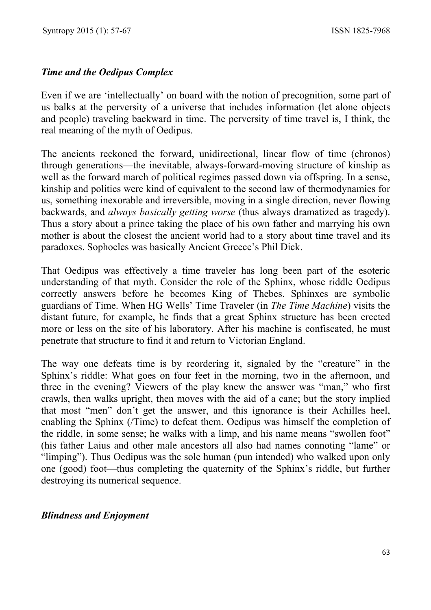### *Time and the Oedipus Complex*

Even if we are 'intellectually' on board with the notion of precognition, some part of us balks at the perversity of a universe that includes information (let alone objects and people) traveling backward in time. The perversity of time travel is, I think, the real meaning of the myth of Oedipus.

The ancients reckoned the forward, unidirectional, linear flow of time (chronos) through generations—the inevitable, always-forward-moving structure of kinship as well as the forward march of political regimes passed down via offspring. In a sense, kinship and politics were kind of equivalent to the second law of thermodynamics for us, something inexorable and irreversible, moving in a single direction, never flowing backwards, and *always basically getting worse* (thus always dramatized as tragedy). Thus a story about a prince taking the place of his own father and marrying his own mother is about the closest the ancient world had to a story about time travel and its paradoxes. Sophocles was basically Ancient Greece's Phil Dick.

That Oedipus was effectively a time traveler has long been part of the esoteric understanding of that myth. Consider the role of the Sphinx, whose riddle Oedipus correctly answers before he becomes King of Thebes. Sphinxes are symbolic guardians of Time. When HG Wells' Time Traveler (in *The Time Machine*) visits the distant future, for example, he finds that a great Sphinx structure has been erected more or less on the site of his laboratory. After his machine is confiscated, he must penetrate that structure to find it and return to Victorian England.

The way one defeats time is by reordering it, signaled by the "creature" in the Sphinx's riddle: What goes on four feet in the morning, two in the afternoon, and three in the evening? Viewers of the play knew the answer was "man," who first crawls, then walks upright, then moves with the aid of a cane; but the story implied that most "men" don't get the answer, and this ignorance is their Achilles heel, enabling the Sphinx (/Time) to defeat them. Oedipus was himself the completion of the riddle, in some sense; he walks with a limp, and his name means "swollen foot" (his father Laius and other male ancestors all also had names connoting "lame" or "limping"). Thus Oedipus was the sole human (pun intended) who walked upon only one (good) foot—thus completing the quaternity of the Sphinx's riddle, but further destroying its numerical sequence.

#### *Blindness and Enjoyment*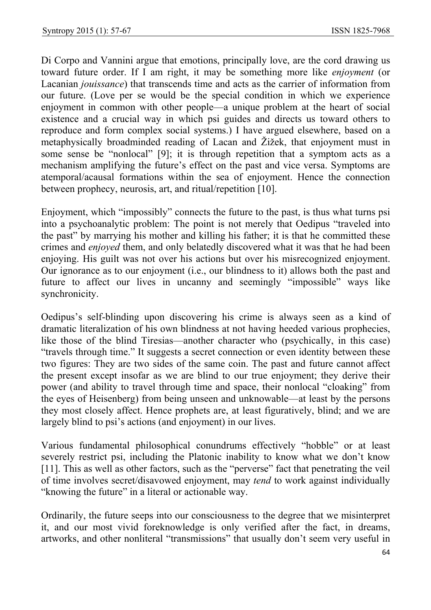Di Corpo and Vannini argue that emotions, principally love, are the cord drawing us toward future order. If I am right, it may be something more like *enjoyment* (or Lacanian *jouissance*) that transcends time and acts as the carrier of information from our future. (Love per se would be the special condition in which we experience enjoyment in common with other people—a unique problem at the heart of social existence and a crucial way in which psi guides and directs us toward others to reproduce and form complex social systems.) I have argued elsewhere, based on a metaphysically broadminded reading of Lacan and Žižek, that enjoyment must in some sense be "nonlocal" [9]; it is through repetition that a symptom acts as a mechanism amplifying the future's effect on the past and vice versa. Symptoms are atemporal/acausal formations within the sea of enjoyment. Hence the connection between prophecy, neurosis, art, and ritual/repetition [10].

Enjoyment, which "impossibly" connects the future to the past, is thus what turns psi into a psychoanalytic problem: The point is not merely that Oedipus "traveled into the past" by marrying his mother and killing his father; it is that he committed these crimes and *enjoyed* them, and only belatedly discovered what it was that he had been enjoying. His guilt was not over his actions but over his misrecognized enjoyment. Our ignorance as to our enjoyment (i.e., our blindness to it) allows both the past and future to affect our lives in uncanny and seemingly "impossible" ways like synchronicity.

Oedipus's self-blinding upon discovering his crime is always seen as a kind of dramatic literalization of his own blindness at not having heeded various prophecies, like those of the blind Tiresias—another character who (psychically, in this case) "travels through time." It suggests a secret connection or even identity between these two figures: They are two sides of the same coin. The past and future cannot affect the present except insofar as we are blind to our true enjoyment; they derive their power (and ability to travel through time and space, their nonlocal "cloaking" from the eyes of Heisenberg) from being unseen and unknowable—at least by the persons they most closely affect. Hence prophets are, at least figuratively, blind; and we are largely blind to psi's actions (and enjoyment) in our lives.

Various fundamental philosophical conundrums effectively "hobble" or at least severely restrict psi, including the Platonic inability to know what we don't know [11]. This as well as other factors, such as the "perverse" fact that penetrating the veil of time involves secret/disavowed enjoyment, may *tend* to work against individually "knowing the future" in a literal or actionable way.

Ordinarily, the future seeps into our consciousness to the degree that we misinterpret it, and our most vivid foreknowledge is only verified after the fact, in dreams, artworks, and other nonliteral "transmissions" that usually don't seem very useful in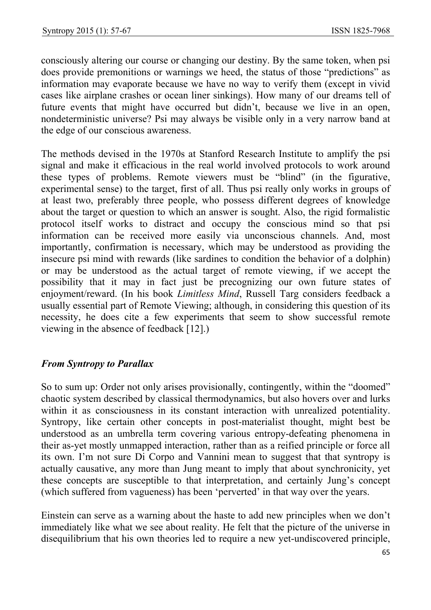consciously altering our course or changing our destiny. By the same token, when psi does provide premonitions or warnings we heed, the status of those "predictions" as information may evaporate because we have no way to verify them (except in vivid cases like airplane crashes or ocean liner sinkings). How many of our dreams tell of future events that might have occurred but didn't, because we live in an open, nondeterministic universe? Psi may always be visible only in a very narrow band at the edge of our conscious awareness.

The methods devised in the 1970s at Stanford Research Institute to amplify the psi signal and make it efficacious in the real world involved protocols to work around these types of problems. Remote viewers must be "blind" (in the figurative, experimental sense) to the target, first of all. Thus psi really only works in groups of at least two, preferably three people, who possess different degrees of knowledge about the target or question to which an answer is sought. Also, the rigid formalistic protocol itself works to distract and occupy the conscious mind so that psi information can be received more easily via unconscious channels. And, most importantly, confirmation is necessary, which may be understood as providing the insecure psi mind with rewards (like sardines to condition the behavior of a dolphin) or may be understood as the actual target of remote viewing, if we accept the possibility that it may in fact just be precognizing our own future states of enjoyment/reward. (In his book *Limitless Mind*, Russell Targ considers feedback a usually essential part of Remote Viewing; although, in considering this question of its necessity, he does cite a few experiments that seem to show successful remote viewing in the absence of feedback [12].)

# *From Syntropy to Parallax*

So to sum up: Order not only arises provisionally, contingently, within the "doomed" chaotic system described by classical thermodynamics, but also hovers over and lurks within it as consciousness in its constant interaction with unrealized potentiality. Syntropy, like certain other concepts in post-materialist thought, might best be understood as an umbrella term covering various entropy-defeating phenomena in their as-yet mostly unmapped interaction, rather than as a reified principle or force all its own. I'm not sure Di Corpo and Vannini mean to suggest that that syntropy is actually causative, any more than Jung meant to imply that about synchronicity, yet these concepts are susceptible to that interpretation, and certainly Jung's concept (which suffered from vagueness) has been 'perverted' in that way over the years.

Einstein can serve as a warning about the haste to add new principles when we don't immediately like what we see about reality. He felt that the picture of the universe in disequilibrium that his own theories led to require a new yet-undiscovered principle,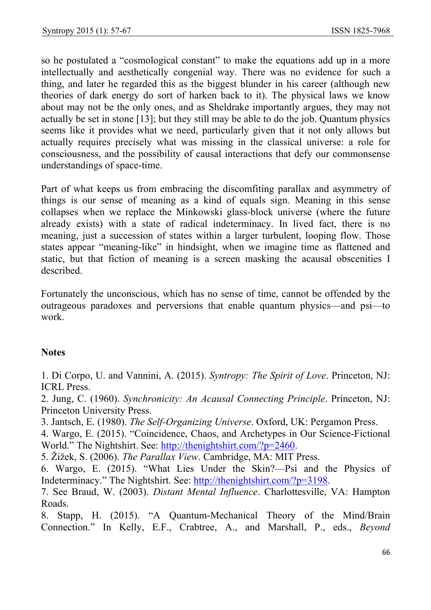so he postulated a "cosmological constant" to make the equations add up in a more intellectually and aesthetically congenial way. There was no evidence for such a thing, and later he regarded this as the biggest blunder in his career (although new theories of dark energy do sort of harken back to it). The physical laws we know about may not be the only ones, and as Sheldrake importantly argues, they may not actually be set in stone [13]; but they still may be able to do the job. Quantum physics seems like it provides what we need, particularly given that it not only allows but actually requires precisely what was missing in the classical universe: a role for consciousness, and the possibility of causal interactions that defy our commonsense understandings of space-time.

Part of what keeps us from embracing the discomfiting parallax and asymmetry of things is our sense of meaning as a kind of equals sign. Meaning in this sense collapses when we replace the Minkowski glass-block universe (where the future already exists) with a state of radical indeterminacy. In lived fact, there is no meaning, just a succession of states within a larger turbulent, looping flow. Those states appear "meaning-like" in hindsight, when we imagine time as flattened and static, but that fiction of meaning is a screen masking the acausal obscenities I described.

Fortunately the unconscious, which has no sense of time, cannot be offended by the outrageous paradoxes and perversions that enable quantum physics—and psi—to work.

#### **Notes**

1. Di Corpo, U. and Vannini, A. (2015). *Syntropy: The Spirit of Love*. Princeton, NJ: ICRL Press.

2. Jung, C. (1960). *Synchronicity: An Acausal Connecting Principle*. Princeton, NJ: Princeton University Press.

3. Jantsch, E. (1980). *The Self-Organizing Universe*. Oxford, UK: Pergamon Press.

4. Wargo, E. (2015). "Coincidence, Chaos, and Archetypes in Our Science-Fictional World." The Nightshirt. See: http://thenightshirt.com/?p=2460.

5. Žižek, S. (2006). *The Parallax View*. Cambridge, MA: MIT Press.

6. Wargo, E. (2015). "What Lies Under the Skin?—Psi and the Physics of Indeterminacy." The Nightshirt. See: http://thenightshirt.com/?p=3198.

7. See Braud, W. (2003). *Distant Mental Influence*. Charlottesville, VA: Hampton Roads.

8. Stapp, H. (2015). "A Quantum-Mechanical Theory of the Mind/Brain Connection." In Kelly, E.F., Crabtree, A., and Marshall, P., eds., *Beyond*